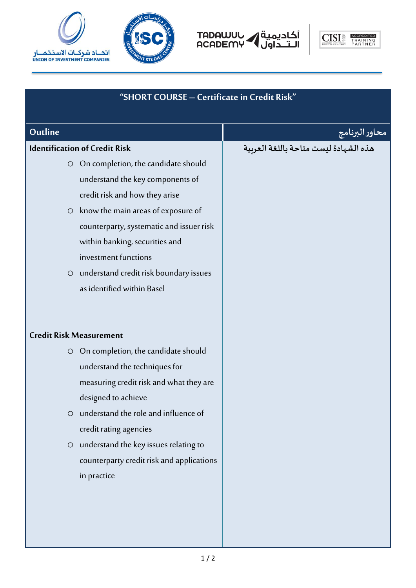



أكاديمية<br>الـتــداول ACADEMY



| "SHORT COURSE - Certificate in Credit Risk"      |                                       |  |
|--------------------------------------------------|---------------------------------------|--|
| Outline                                          | محاور البرنامج                        |  |
| <b>Identification of Credit Risk</b>             | هذه الشهادة ليست متاحة باللغة العربية |  |
| On completion, the candidate should<br>$\circ$   |                                       |  |
| understand the key components of                 |                                       |  |
| credit risk and how they arise                   |                                       |  |
| $\circ$ know the main areas of exposure of       |                                       |  |
| counterparty, systematic and issuer risk         |                                       |  |
| within banking, securities and                   |                                       |  |
| investment functions                             |                                       |  |
| O understand credit risk boundary issues         |                                       |  |
| as identified within Basel                       |                                       |  |
| <b>Credit Risk Measurement</b>                   |                                       |  |
| On completion, the candidate should<br>$\circ$   |                                       |  |
| understand the techniques for                    |                                       |  |
| measuring credit risk and what they are          |                                       |  |
| designed to achieve                              |                                       |  |
| understand the role and influence of<br>$\circ$  |                                       |  |
| credit rating agencies                           |                                       |  |
| understand the key issues relating to<br>$\circ$ |                                       |  |
| counterparty credit risk and applications        |                                       |  |
| in practice                                      |                                       |  |
|                                                  |                                       |  |
|                                                  |                                       |  |
|                                                  |                                       |  |
|                                                  |                                       |  |